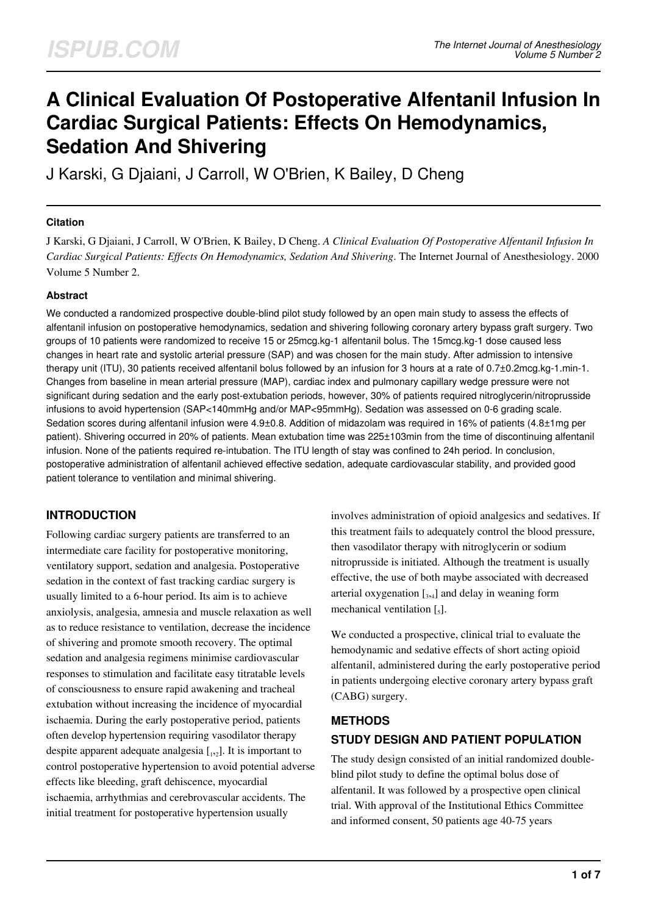# **A Clinical Evaluation Of Postoperative Alfentanil Infusion In Cardiac Surgical Patients: Effects On Hemodynamics, Sedation And Shivering**

J Karski, G Djaiani, J Carroll, W O'Brien, K Bailey, D Cheng

### **Citation**

J Karski, G Djaiani, J Carroll, W O'Brien, K Bailey, D Cheng. *A Clinical Evaluation Of Postoperative Alfentanil Infusion In Cardiac Surgical Patients: Effects On Hemodynamics, Sedation And Shivering*. The Internet Journal of Anesthesiology. 2000 Volume 5 Number 2.

#### **Abstract**

We conducted a randomized prospective double-blind pilot study followed by an open main study to assess the effects of alfentanil infusion on postoperative hemodynamics, sedation and shivering following coronary artery bypass graft surgery. Two groups of 10 patients were randomized to receive 15 or 25mcg.kg-1 alfentanil bolus. The 15mcg.kg-1 dose caused less changes in heart rate and systolic arterial pressure (SAP) and was chosen for the main study. After admission to intensive therapy unit (ITU), 30 patients received alfentanil bolus followed by an infusion for 3 hours at a rate of 0.7±0.2mcg.kg-1.min-1. Changes from baseline in mean arterial pressure (MAP), cardiac index and pulmonary capillary wedge pressure were not significant during sedation and the early post-extubation periods, however, 30% of patients required nitroglycerin/nitroprusside infusions to avoid hypertension (SAP<140mmHg and/or MAP<95mmHg). Sedation was assessed on 0-6 grading scale. Sedation scores during alfentanil infusion were 4.9±0.8. Addition of midazolam was required in 16% of patients (4.8±1mg per patient). Shivering occurred in 20% of patients. Mean extubation time was 225±103min from the time of discontinuing alfentanil infusion. None of the patients required re-intubation. The ITU length of stay was confined to 24h period. In conclusion, postoperative administration of alfentanil achieved effective sedation, adequate cardiovascular stability, and provided good patient tolerance to ventilation and minimal shivering.

## **INTRODUCTION**

Following cardiac surgery patients are transferred to an intermediate care facility for postoperative monitoring, ventilatory support, sedation and analgesia. Postoperative sedation in the context of fast tracking cardiac surgery is usually limited to a 6-hour period. Its aim is to achieve anxiolysis, analgesia, amnesia and muscle relaxation as well as to reduce resistance to ventilation, decrease the incidence of shivering and promote smooth recovery. The optimal sedation and analgesia regimens minimise cardiovascular responses to stimulation and facilitate easy titratable levels of consciousness to ensure rapid awakening and tracheal extubation without increasing the incidence of myocardial ischaemia. During the early postoperative period, patients often develop hypertension requiring vasodilator therapy despite apparent adequate analgesia  $\left[1,2\right]$ . It is important to control postoperative hypertension to avoid potential adverse effects like bleeding, graft dehiscence, myocardial ischaemia, arrhythmias and cerebrovascular accidents. The initial treatment for postoperative hypertension usually

involves administration of opioid analgesics and sedatives. If this treatment fails to adequately control the blood pressure, then vasodilator therapy with nitroglycerin or sodium nitroprusside is initiated. Although the treatment is usually effective, the use of both maybe associated with decreased arterial oxygenation  $[$ <sub>3</sub>,<sub>4</sub> $]$  and delay in weaning form mechanical ventilation  $\left[\begin{smallmatrix} 5 \end{smallmatrix}\right]$ .

We conducted a prospective, clinical trial to evaluate the hemodynamic and sedative effects of short acting opioid alfentanil, administered during the early postoperative period in patients undergoing elective coronary artery bypass graft (CABG) surgery.

# **METHODS STUDY DESIGN AND PATIENT POPULATION**

The study design consisted of an initial randomized doubleblind pilot study to define the optimal bolus dose of alfentanil. It was followed by a prospective open clinical trial. With approval of the Institutional Ethics Committee and informed consent, 50 patients age 40-75 years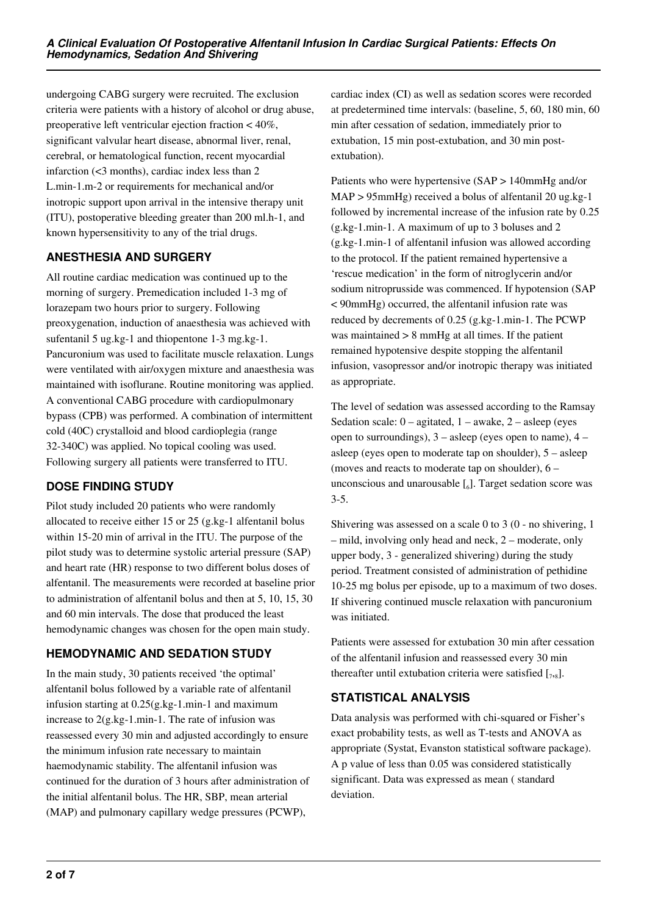undergoing CABG surgery were recruited. The exclusion criteria were patients with a history of alcohol or drug abuse, preoperative left ventricular ejection fraction < 40%, significant valvular heart disease, abnormal liver, renal, cerebral, or hematological function, recent myocardial infarction (<3 months), cardiac index less than 2 L.min-1.m-2 or requirements for mechanical and/or inotropic support upon arrival in the intensive therapy unit (ITU), postoperative bleeding greater than 200 ml.h-1, and known hypersensitivity to any of the trial drugs.

# **ANESTHESIA AND SURGERY**

All routine cardiac medication was continued up to the morning of surgery. Premedication included 1-3 mg of lorazepam two hours prior to surgery. Following preoxygenation, induction of anaesthesia was achieved with sufentanil 5 ug.kg-1 and thiopentone 1-3 mg.kg-1. Pancuronium was used to facilitate muscle relaxation. Lungs were ventilated with air/oxygen mixture and anaesthesia was maintained with isoflurane. Routine monitoring was applied. A conventional CABG procedure with cardiopulmonary bypass (CPB) was performed. A combination of intermittent cold (40C) crystalloid and blood cardioplegia (range 32-340C) was applied. No topical cooling was used. Following surgery all patients were transferred to ITU.

# **DOSE FINDING STUDY**

Pilot study included 20 patients who were randomly allocated to receive either 15 or 25 (g.kg-1 alfentanil bolus within 15-20 min of arrival in the ITU. The purpose of the pilot study was to determine systolic arterial pressure (SAP) and heart rate (HR) response to two different bolus doses of alfentanil. The measurements were recorded at baseline prior to administration of alfentanil bolus and then at 5, 10, 15, 30 and 60 min intervals. The dose that produced the least hemodynamic changes was chosen for the open main study.

# **HEMODYNAMIC AND SEDATION STUDY**

In the main study, 30 patients received 'the optimal' alfentanil bolus followed by a variable rate of alfentanil infusion starting at 0.25(g.kg-1.min-1 and maximum increase to 2(g.kg-1.min-1. The rate of infusion was reassessed every 30 min and adjusted accordingly to ensure the minimum infusion rate necessary to maintain haemodynamic stability. The alfentanil infusion was continued for the duration of 3 hours after administration of the initial alfentanil bolus. The HR, SBP, mean arterial (MAP) and pulmonary capillary wedge pressures (PCWP),

cardiac index (CI) as well as sedation scores were recorded at predetermined time intervals: (baseline, 5, 60, 180 min, 60 min after cessation of sedation, immediately prior to extubation, 15 min post-extubation, and 30 min postextubation).

Patients who were hypertensive (SAP > 140mmHg and/or MAP > 95mmHg) received a bolus of alfentanil 20 ug.kg-1 followed by incremental increase of the infusion rate by 0.25 (g.kg-1.min-1. A maximum of up to 3 boluses and 2 (g.kg-1.min-1 of alfentanil infusion was allowed according to the protocol. If the patient remained hypertensive a 'rescue medication' in the form of nitroglycerin and/or sodium nitroprusside was commenced. If hypotension (SAP < 90mmHg) occurred, the alfentanil infusion rate was reduced by decrements of 0.25 (g.kg-1.min-1. The PCWP was maintained  $> 8$  mmHg at all times. If the patient remained hypotensive despite stopping the alfentanil infusion, vasopressor and/or inotropic therapy was initiated as appropriate.

The level of sedation was assessed according to the Ramsay Sedation scale:  $0 -$  agitated,  $1 -$  awake,  $2 -$  asleep (eyes open to surroundings), 3 – asleep (eyes open to name), 4 – asleep (eyes open to moderate tap on shoulder), 5 – asleep (moves and reacts to moderate tap on shoulder), 6 – unconscious and unarousable  $\left[\begin{smallmatrix}6\end{smallmatrix}\right]$ . Target sedation score was 3-5.

Shivering was assessed on a scale 0 to 3 (0 - no shivering, 1 – mild, involving only head and neck, 2 – moderate, only upper body, 3 - generalized shivering) during the study period. Treatment consisted of administration of pethidine 10-25 mg bolus per episode, up to a maximum of two doses. If shivering continued muscle relaxation with pancuronium was initiated.

Patients were assessed for extubation 30 min after cessation of the alfentanil infusion and reassessed every 30 min thereafter until extubation criteria were satisfied  $[\,7,8]$ .

## **STATISTICAL ANALYSIS**

Data analysis was performed with chi-squared or Fisher's exact probability tests, as well as T-tests and ANOVA as appropriate (Systat, Evanston statistical software package). A p value of less than 0.05 was considered statistically significant. Data was expressed as mean ( standard deviation.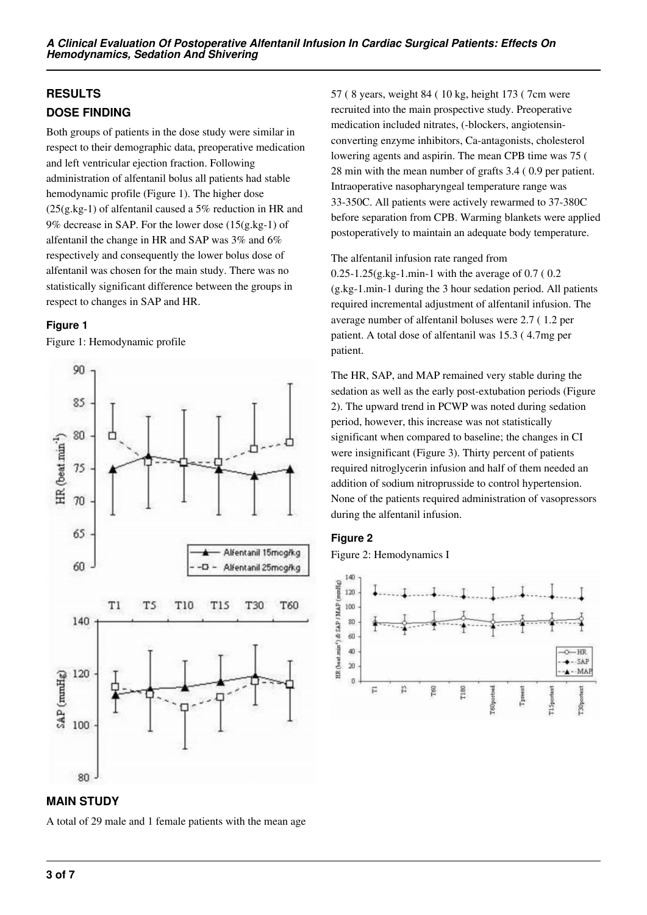# **RESULTS DOSE FINDING**

Both groups of patients in the dose study were similar in respect to their demographic data, preoperative medication and left ventricular ejection fraction. Following administration of alfentanil bolus all patients had stable hemodynamic profile (Figure 1). The higher dose  $(25(g.kg-1)$  of alfentanil caused a 5% reduction in HR and 9% decrease in SAP. For the lower dose (15(g.kg-1) of alfentanil the change in HR and SAP was 3% and 6% respectively and consequently the lower bolus dose of alfentanil was chosen for the main study. There was no statistically significant difference between the groups in respect to changes in SAP and HR.

## **Figure 1**

Figure 1: Hemodynamic profile



# **MAIN STUDY**

A total of 29 male and 1 female patients with the mean age

57 ( 8 years, weight 84 ( 10 kg, height 173 ( 7cm were recruited into the main prospective study. Preoperative medication included nitrates, (-blockers, angiotensinconverting enzyme inhibitors, Ca-antagonists, cholesterol lowering agents and aspirin. The mean CPB time was 75 ( 28 min with the mean number of grafts 3.4 ( 0.9 per patient. Intraoperative nasopharyngeal temperature range was 33-350C. All patients were actively rewarmed to 37-380C before separation from CPB. Warming blankets were applied postoperatively to maintain an adequate body temperature.

The alfentanil infusion rate ranged from  $0.25 - 1.25(g.kg-1.min-1$  with the average of  $0.7$  ( $0.2$ ) (g.kg-1.min-1 during the 3 hour sedation period. All patients required incremental adjustment of alfentanil infusion. The average number of alfentanil boluses were 2.7 ( 1.2 per patient. A total dose of alfentanil was 15.3 ( 4.7mg per patient.

The HR, SAP, and MAP remained very stable during the sedation as well as the early post-extubation periods (Figure 2). The upward trend in PCWP was noted during sedation period, however, this increase was not statistically significant when compared to baseline; the changes in CI were insignificant (Figure 3). Thirty percent of patients required nitroglycerin infusion and half of them needed an addition of sodium nitroprusside to control hypertension. None of the patients required administration of vasopressors during the alfentanil infusion.

## **Figure 2**

Figure 2: Hemodynamics I

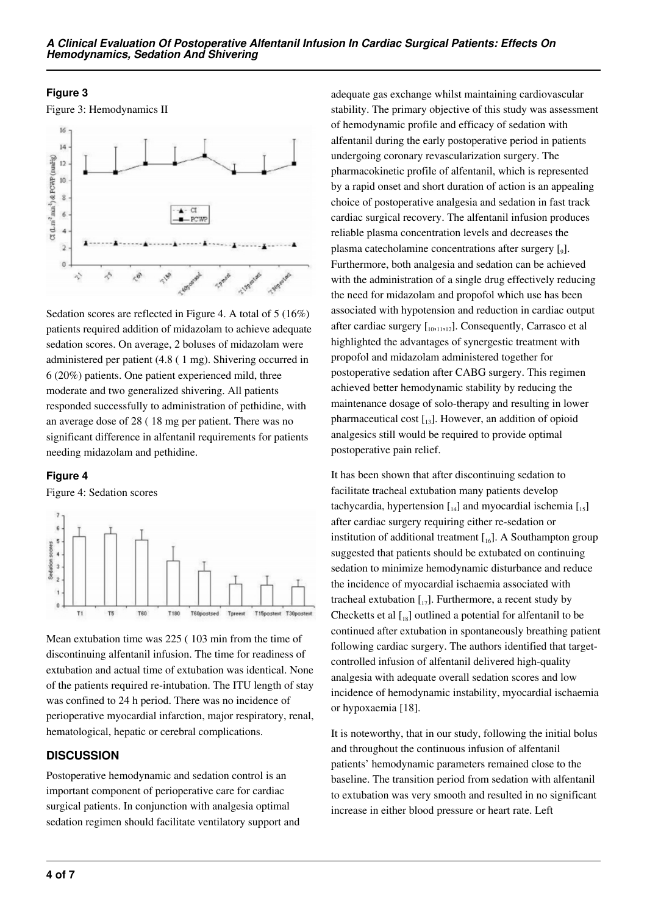### **Figure 3**

Figure 3: Hemodynamics II



Sedation scores are reflected in Figure 4. A total of 5 (16%) patients required addition of midazolam to achieve adequate sedation scores. On average, 2 boluses of midazolam were administered per patient (4.8 ( 1 mg). Shivering occurred in 6 (20%) patients. One patient experienced mild, three moderate and two generalized shivering. All patients responded successfully to administration of pethidine, with an average dose of 28 ( 18 mg per patient. There was no significant difference in alfentanil requirements for patients needing midazolam and pethidine.

#### **Figure 4**

Figure 4: Sedation scores



Mean extubation time was 225 ( 103 min from the time of discontinuing alfentanil infusion. The time for readiness of extubation and actual time of extubation was identical. None of the patients required re-intubation. The ITU length of stay was confined to 24 h period. There was no incidence of perioperative myocardial infarction, major respiratory, renal, hematological, hepatic or cerebral complications.

## **DISCUSSION**

Postoperative hemodynamic and sedation control is an important component of perioperative care for cardiac surgical patients. In conjunction with analgesia optimal sedation regimen should facilitate ventilatory support and

adequate gas exchange whilst maintaining cardiovascular stability. The primary objective of this study was assessment of hemodynamic profile and efficacy of sedation with alfentanil during the early postoperative period in patients undergoing coronary revascularization surgery. The pharmacokinetic profile of alfentanil, which is represented by a rapid onset and short duration of action is an appealing choice of postoperative analgesia and sedation in fast track cardiac surgical recovery. The alfentanil infusion produces reliable plasma concentration levels and decreases the plasma catecholamine concentrations after surgery [<sub>9</sub>]. Furthermore, both analgesia and sedation can be achieved with the administration of a single drug effectively reducing the need for midazolam and propofol which use has been associated with hypotension and reduction in cardiac output after cardiac surgery  $[I_{10},11,12]$ . Consequently, Carrasco et al highlighted the advantages of synergestic treatment with propofol and midazolam administered together for postoperative sedation after CABG surgery. This regimen achieved better hemodynamic stability by reducing the maintenance dosage of solo-therapy and resulting in lower pharmaceutical cost  $\begin{bmatrix} 1 & 1 \end{bmatrix}$ . However, an addition of opioid analgesics still would be required to provide optimal postoperative pain relief.

It has been shown that after discontinuing sedation to facilitate tracheal extubation many patients develop tachycardia, hypertension  $\begin{bmatrix} 1 & 1 \\ 1 & 4 \end{bmatrix}$  and myocardial ischemia  $\begin{bmatrix} 1 & 1 \\ 1 & 5 \end{bmatrix}$ after cardiac surgery requiring either re-sedation or institution of additional treatment  $[I_{16}]$ . A Southampton group suggested that patients should be extubated on continuing sedation to minimize hemodynamic disturbance and reduce the incidence of myocardial ischaemia associated with tracheal extubation  $\begin{bmatrix} 1 \\ 1 \end{bmatrix}$ . Furthermore, a recent study by Checketts et al  $\begin{bmatrix} 18 \end{bmatrix}$  outlined a potential for alfentanil to be continued after extubation in spontaneously breathing patient following cardiac surgery. The authors identified that targetcontrolled infusion of alfentanil delivered high-quality analgesia with adequate overall sedation scores and low incidence of hemodynamic instability, myocardial ischaemia or hypoxaemia [18].

It is noteworthy, that in our study, following the initial bolus and throughout the continuous infusion of alfentanil patients' hemodynamic parameters remained close to the baseline. The transition period from sedation with alfentanil to extubation was very smooth and resulted in no significant increase in either blood pressure or heart rate. Left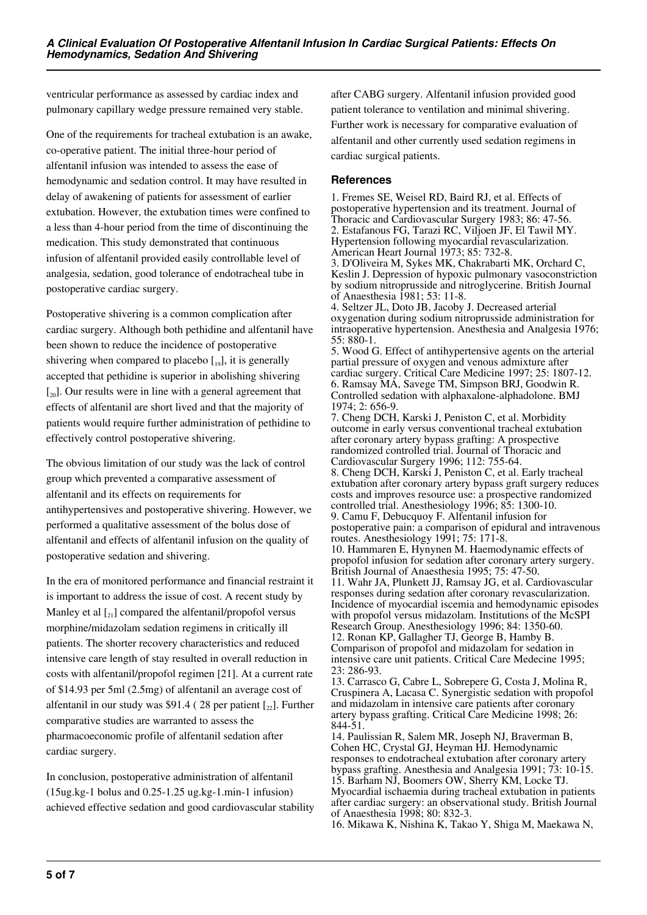ventricular performance as assessed by cardiac index and pulmonary capillary wedge pressure remained very stable.

One of the requirements for tracheal extubation is an awake, co-operative patient. The initial three-hour period of alfentanil infusion was intended to assess the ease of hemodynamic and sedation control. It may have resulted in delay of awakening of patients for assessment of earlier extubation. However, the extubation times were confined to a less than 4-hour period from the time of discontinuing the medication. This study demonstrated that continuous infusion of alfentanil provided easily controllable level of analgesia, sedation, good tolerance of endotracheal tube in postoperative cardiac surgery.

Postoperative shivering is a common complication after cardiac surgery. Although both pethidine and alfentanil have been shown to reduce the incidence of postoperative shivering when compared to placebo  $\begin{bmatrix} 1 & 0 \\ 0 & 1 \end{bmatrix}$ , it is generally accepted that pethidine is superior in abolishing shivering  $\left[\begin{smallmatrix} 20\\ 20 \end{smallmatrix}\right]$ . Our results were in line with a general agreement that effects of alfentanil are short lived and that the majority of patients would require further administration of pethidine to effectively control postoperative shivering.

The obvious limitation of our study was the lack of control group which prevented a comparative assessment of alfentanil and its effects on requirements for antihypertensives and postoperative shivering. However, we performed a qualitative assessment of the bolus dose of alfentanil and effects of alfentanil infusion on the quality of postoperative sedation and shivering.

In the era of monitored performance and financial restraint it is important to address the issue of cost. A recent study by Manley et al  $\left[2_{2}\right]$  compared the alfentanil/propofol versus morphine/midazolam sedation regimens in critically ill patients. The shorter recovery characteristics and reduced intensive care length of stay resulted in overall reduction in costs with alfentanil/propofol regimen [21]. At a current rate of \$14.93 per 5ml (2.5mg) of alfentanil an average cost of alfentanil in our study was \$91.4 (28 per patient  $\lceil z_2 \rceil$ . Further comparative studies are warranted to assess the pharmacoeconomic profile of alfentanil sedation after cardiac surgery.

In conclusion, postoperative administration of alfentanil (15ug.kg-1 bolus and 0.25-1.25 ug.kg-1.min-1 infusion) achieved effective sedation and good cardiovascular stability

after CABG surgery. Alfentanil infusion provided good patient tolerance to ventilation and minimal shivering. Further work is necessary for comparative evaluation of alfentanil and other currently used sedation regimens in cardiac surgical patients.

### **References**

1. Fremes SE, Weisel RD, Baird RJ, et al. Effects of postoperative hypertension and its treatment. Journal of Thoracic and Cardiovascular Surgery 1983; 86: 47-56. 2. Estafanous FG, Tarazi RC, Viljoen JF, El Tawil MY. Hypertension following myocardial revascularization. American Heart Journal 1973; 85: 732-8.

3. D'Oliveira M, Sykes MK, Chakrabarti MK, Orchard C, Keslin J. Depression of hypoxic pulmonary vasoconstriction by sodium nitroprusside and nitroglycerine. British Journal of Anaesthesia 1981; 53: 11-8.

4. Seltzer JL, Doto JB, Jacoby J. Decreased arterial oxygenation during sodium nitroprusside administration for intraoperative hypertension. Anesthesia and Analgesia 1976; 55: 880-1.

5. Wood G. Effect of antihypertensive agents on the arterial partial pressure of oxygen and venous admixture after cardiac surgery. Critical Care Medicine 1997; 25: 1807-12. 6. Ramsay MA, Savege TM, Simpson BRJ, Goodwin R. Controlled sedation with alphaxalone-alphadolone. BMJ 1974; 2: 656-9.

7. Cheng DCH, Karski J, Peniston C, et al. Morbidity outcome in early versus conventional tracheal extubation after coronary artery bypass grafting: A prospective randomized controlled trial. Journal of Thoracic and Cardiovascular Surgery 1996; 112: 755-64.

8. Cheng DCH, Karski J, Peniston C, et al. Early tracheal extubation after coronary artery bypass graft surgery reduces costs and improves resource use: a prospective randomized controlled trial. Anesthesiology 1996; 85: 1300-10. 9. Camu F, Debucquoy F. Alfentanil infusion for

postoperative pain: a comparison of epidural and intravenous routes. Anesthesiology 1991; 75: 171-8.

10. Hammaren E, Hynynen M. Haemodynamic effects of propofol infusion for sedation after coronary artery surgery. British Journal of Anaesthesia 1995; 75: 47-50.

11. Wahr JA, Plunkett JJ, Ramsay JG, et al. Cardiovascular responses during sedation after coronary revascularization. Incidence of myocardial iscemia and hemodynamic episodes with propofol versus midazolam. Institutions of the McSPI Research Group. Anesthesiology 1996; 84: 1350-60. 12. Ronan KP, Gallagher TJ, George B, Hamby B. Comparison of propofol and midazolam for sedation in intensive care unit patients. Critical Care Medecine 1995; 23: 286-93.

13. Carrasco G, Cabre L, Sobrepere G, Costa J, Molina R, Cruspinera A, Lacasa C. Synergistic sedation with propofol and midazolam in intensive care patients after coronary artery bypass grafting. Critical Care Medicine 1998; 26: 844-51.

14. Paulissian R, Salem MR, Joseph NJ, Braverman B, Cohen HC, Crystal GJ, Heyman HJ. Hemodynamic responses to endotracheal extubation after coronary artery bypass grafting. Anesthesia and Analgesia 1991; 73: 10-15. 15. Barham NJ, Boomers OW, Sherry KM, Locke TJ. Myocardial ischaemia during tracheal extubation in patients after cardiac surgery: an observational study. British Journal of Anaesthesia 1998; 80: 832-3.

16. Mikawa K, Nishina K, Takao Y, Shiga M, Maekawa N,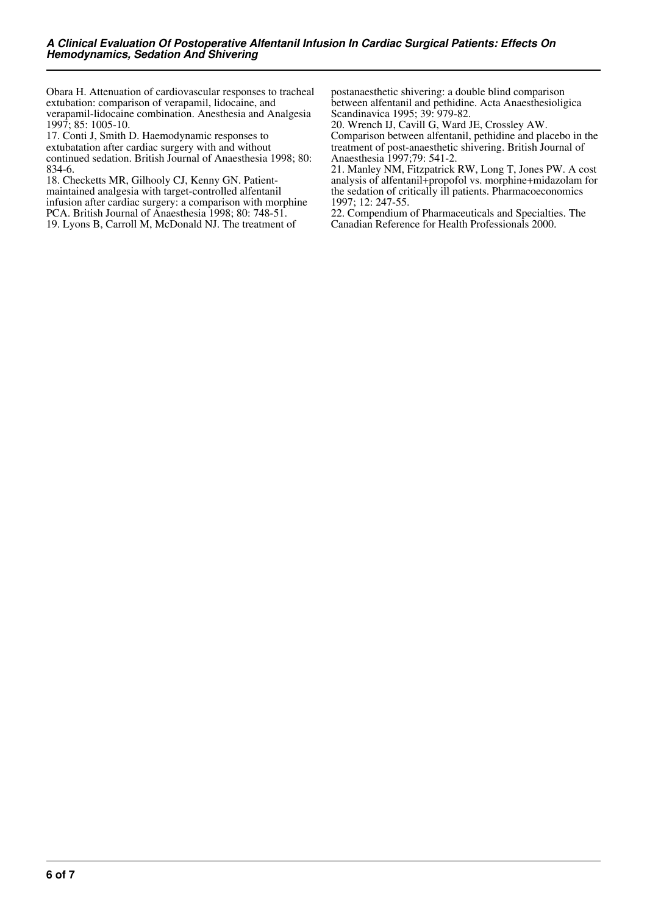Obara H. Attenuation of cardiovascular responses to tracheal extubation: comparison of verapamil, lidocaine, and verapamil-lidocaine combination. Anesthesia and Analgesia 1997; 85: 1005-10.

17. Conti J, Smith D. Haemodynamic responses to extubatation after cardiac surgery with and without continued sedation. British Journal of Anaesthesia 1998; 80: 834-6.

18. Checketts MR, Gilhooly CJ, Kenny GN. Patientmaintained analgesia with target-controlled alfentanil infusion after cardiac surgery: a comparison with morphine PCA. British Journal of Anaesthesia 1998; 80: 748-51. 19. Lyons B, Carroll M, McDonald NJ. The treatment of

postanaesthetic shivering: a double blind comparison between alfentanil and pethidine. Acta Anaesthesioligica Scandinavica 1995; 39: 979-82.

20. Wrench IJ, Cavill G, Ward JE, Crossley AW. Comparison between alfentanil, pethidine and placebo in the treatment of post-anaesthetic shivering. British Journal of Anaesthesia 1997;79: 541-2.

21. Manley NM, Fitzpatrick RW, Long T, Jones PW. A cost analysis of alfentanil+propofol vs. morphine+midazolam for the sedation of critically ill patients. Pharmacoeconomics 1997; 12: 247-55.

22. Compendium of Pharmaceuticals and Specialties. The Canadian Reference for Health Professionals 2000.